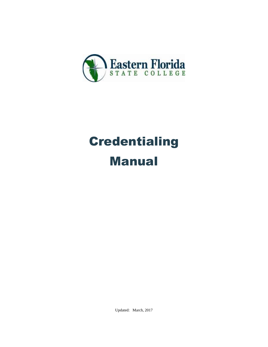

# **Credentialing** Manual

Updated: March, 2017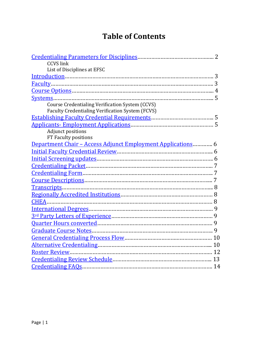# **Table of Contents**

| <b>CCVS</b> link                                                    |  |
|---------------------------------------------------------------------|--|
| List of Disciplines at EFSC                                         |  |
|                                                                     |  |
|                                                                     |  |
|                                                                     |  |
|                                                                     |  |
| Course Credentialing Verification System (CCVS)                     |  |
| <b>Faculty Credentialing Verification System (FCVS)</b>             |  |
|                                                                     |  |
|                                                                     |  |
| Adjunct positions                                                   |  |
| FT Faculty positions                                                |  |
| <u> Department Chair - Access Adjunct Employment Applications</u> 6 |  |
|                                                                     |  |
|                                                                     |  |
|                                                                     |  |
|                                                                     |  |
|                                                                     |  |
|                                                                     |  |
|                                                                     |  |
|                                                                     |  |
|                                                                     |  |
|                                                                     |  |
|                                                                     |  |
|                                                                     |  |
|                                                                     |  |
|                                                                     |  |
|                                                                     |  |
|                                                                     |  |
|                                                                     |  |
|                                                                     |  |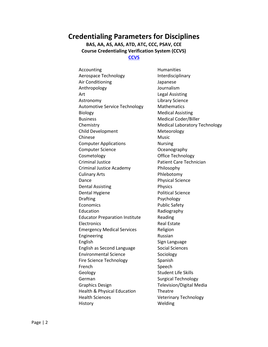### <span id="page-2-0"></span>**Credentialing Parameters for Disciplines**

**BAS, AA, AS, AAS, ATD, ATC, CCC, PSAV, CCE Course Credentialing Verification System (CCVS) [CCVS](http://web12.easternflorida.edu/credentials/)**

Accounting **Humanities** Aerospace Technology **Interdisciplinary** Air Conditioning The Manuscript Conditioning Anthropology Journalism Art Legal Assisting Astronomy Library Science Automotive Service Technology Mathematics Biology Medical Assisting Business Medical Coder/Biller Chemistry **Medical Laboratory Technology** Child Development Meteorology Chinese Music **Computer Applications Mursing Computer Applications** Computer Science **Computer Science Computer Science Computer Computer Computer Computer Computer Computer Computer Computer Computer Computer Computer Computer Computer Computer Computer C** Cosmetology **Cosmetology Cosmetology** Criminal Justice **Patient Care Technician** Criminal Justice Academy Philosophy Culinary Arts **Phlebotomy** Dance **Physical Science** Dental Assisting **Physics** Dental Hygiene **Political Science** Drafting Psychology Economics Public Safety Education **Radiography** Educator Preparation Institute Reading Electronics **Real Estate** Emergency Medical Services Religion Engineering Russian English Sign Language English as Second Language Social Sciences Environmental Science Sociology Fire Science Technology Spanish French Speech Geology **Student Life Skills** German Surgical Technology Graphics Design Television/Digital Media Health & Physical Education Theatre Health Sciences Veterinary Technology History Welding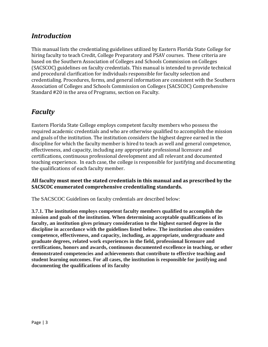### <span id="page-3-0"></span>*Introduction*

This manual lists the credentialing guidelines utilized by Eastern Florida State College for hiring faculty to teach Credit, College Preparatory and PSAV courses. These criteria are based on the Southern Association of Colleges and Schools Commission on Colleges (SACSCOC) guidelines on faculty credentials. This manual is intended to provide technical and procedural clarification for individuals responsible for faculty selection and credentialing. Procedures, forms, and general information are consistent with the Southern Association of Colleges and Schools Commission on Colleges (SACSCOC) Comprehensive Standard #20 in the area of Programs, section on Faculty.

### <span id="page-3-1"></span>*Faculty*

Eastern Florida State College employs competent faculty members who possess the required academic credentials and who are otherwise qualified to accomplish the mission and goals of the institution. The institution considers the highest degree earned in the discipline for which the faculty member is hired to teach as well and general competence, effectiveness, and capacity, including any appropriate professional licensure and certifications, continuous professional development and all relevant and documented teaching experience. In each case, the college is responsible for justifying and documenting the qualifications of each faculty member.

#### **All faculty must meet the stated credentials in this manual and as prescribed by the SACSCOC enumerated comprehensive credentialing standards.**

The SACSCOC Guidelines on faculty credentials are described below:

**3.7.1. The institution employs competent faculty members qualified to accomplish the mission and goals of the institution. When determining acceptable qualifications of its faculty, an institution gives primary consideration to the highest earned degree in the discipline in accordance with the guidelines listed below. The institution also considers competence, effectiveness, and capacity, including, as appropriate, undergraduate and graduate degrees, related work experiences in the field, professional licensure and certifications, honors and awards, continuous documented excellence in teaching, or other demonstrated competencies and achievements that contribute to effective teaching and student learning outcomes. For all cases, the institution is responsible for justifying and documenting the qualifications of its faculty**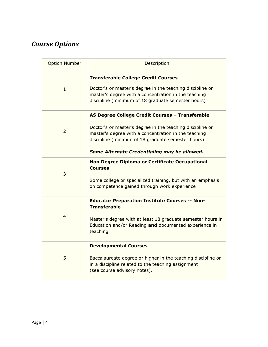## <span id="page-4-0"></span>*Course Options*

| <b>Option Number</b> | Description                                                                                                                                                                                                                                                                |
|----------------------|----------------------------------------------------------------------------------------------------------------------------------------------------------------------------------------------------------------------------------------------------------------------------|
| $\mathbf{1}$         | <b>Transferable College Credit Courses</b><br>Doctor's or master's degree in the teaching discipline or<br>master's degree with a concentration in the teaching<br>discipline (minimum of 18 graduate semester hours)                                                      |
| $\overline{2}$       | AS Degree College Credit Courses - Transferable<br>Doctor's or master's degree in the teaching discipline or<br>master's degree with a concentration in the teaching<br>discipline (minimun of 18 graduate semester hours)<br>Some Alternate Credentialing may be allowed. |
| 3                    | Non Degree Diploma or Certificate Occupational<br><b>Courses</b><br>Some college or specialized training, but with an emphasis<br>on competence gained through work experience                                                                                             |
| $\overline{4}$       | <b>Educator Preparation Institute Courses -- Non-</b><br><b>Transferable</b><br>Master's degree with at least 18 graduate semester hours in<br>Education and/or Reading and documented experience in<br>teaching                                                           |
| 5                    | <b>Developmental Courses</b><br>Baccalaureate degree or higher in the teaching discipline or<br>in a discipline related to the teaching assignment<br>(see course advisory notes).                                                                                         |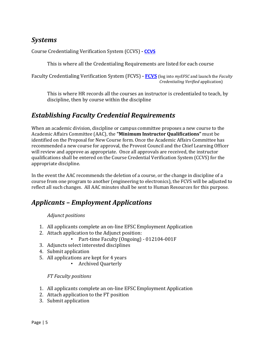### <span id="page-5-0"></span>*Systems*

Course Credentialing Verification System (CCVS) **- [CCVS](http://web12.easternflorida.edu/credentials/)**

This is where all the Credentialing Requirements are listed for each course

Faculty Credentialing Verification System (FCVS) **- [FCVS](https://web12.easternflorida.edu/ulogin/index.cfm)** (log into *myEFSC* and launch the *Faculty Credentialing Verified* application)

This is where HR records all the courses an instructor is credentialed to teach, by discipline, then by course within the discipline

### <span id="page-5-1"></span>*Establishing Faculty Credential Requirements*

When an academic division, discipline or campus committee proposes a new course to the Academic Affairs Committee (AAC), the **"Minimum Instructor Qualifications"** must be identified on the Proposal for New Course form. Once the Academic Affairs Committee has recommended a new course for approval, the Provost Council and the Chief Learning Officer will review and approve as appropriate. Once all approvals are received, the instructor qualifications shall be entered on the Course Credential Verification System (CCVS) for the appropriate discipline.

In the event the AAC recommends the deletion of a course, or the change in discipline of a course from one program to another (engineering to electronics), the FCVS will be adjusted to reflect all such changes. All AAC minutes shall be sent to Human Resources for this purpose.

### <span id="page-5-2"></span>*Applicants – Employment Applications*

#### *Adjunct positions*

- 1. All applicants complete an on-line EFSC Employment Application
- 2. Attach application to the Adjunct position:
	- Part-time Faculty (Ongoing) 012104-001F
- 3. Adjuncts select interested disciplines
- 4. Submit application
- 5. All applications are kept for 4 years
	- Archived Quarterly

#### *FT Faculty positions*

- 1. All applicants complete an on-line EFSC Employment Application
- 2. Attach application to the FT position
- <span id="page-5-3"></span>3. Submit application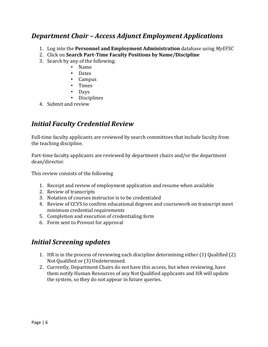### *Department Chair – Access Adjunct Employment Applications*

- 1. Log into the **Personnel and Employment Administration** database using *MyEFSC*
- 2. Click on **Search Part-Time Faculty Positions by Name/Discipline**
- 3. Search by any of the following:
	- Name
	- Dates
	- Campus
	- Times
	- Days
	- **Disciplines**
- 4. Submit and review

### <span id="page-6-0"></span>*Initial Faculty Credential Review*

Full-time faculty applicants are reviewed by search committees that include faculty from the teaching discipline.

Part-time faculty applicants are reviewed by department chairs and/or the department dean/director.

This review consists of the following

- 1. Receipt and review of employment application and resume when available
- 2. Review of transcripts
- 3. Notation of courses instructor is to be credentialed
- 4. Review of CCVS to confirm educational degrees and coursework on transcript meet minimum credential requirements
- 5. Completion and execution of credentialing form
- 6. Form sent to Provost for approval

### <span id="page-6-1"></span>*Initial Screening updates*

- 1. HR is in the process of reviewing each discipline determining either (1) Qualified (2) Not Qualified or (3) Undetermined.
- 2. Currently, Department Chairs do not have this access, but when reviewing, have them notify Human Resources of any Not Qualified applicants and HR will update the system, so they do not appear in future queries.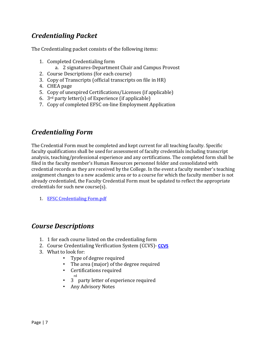### <span id="page-7-0"></span>*Credentialing Packet*

The Credentialing packet consists of the following items:

- 1. Completed Credentialing form
	- a. 2 signatures-Department Chair and Campus Provost
- 2. Course Descriptions (for each course)
- 3. Copy of Transcripts (official transcripts on file in HR)
- 4. CHEA page
- 5. Copy of unexpired Certifications/Licenses (if applicable)
- 6.  $3<sup>rd</sup>$  party letter(s) of Experience (if applicable)
- 7. Copy of completed EFSC on-line Employment Application

### <span id="page-7-1"></span>*Credentialing Form*

The Credential Form must be completed and kept current for all teaching faculty. Specific faculty qualifications shall be used for assessment of faculty credentials including transcript analysis, teaching/professional experience and any certifications. The completed form shall be filed in the faculty member's Human Resources personnel folder and consolidated with credential records as they are received by the College. In the event a faculty member's teaching assignment changes to a new academic area or to a course for which the faculty member is not already credentialed, the Faculty Credential Form must be updated to reflect the appropriate credentials for such new course(s).

1. [EFSC Credentialing Form.pdf](http://inside2.easternflorida.edu/resources/doc-center/_layouts/15/WopiFrame2.aspx?sourcedoc=/resources/doc-center/Documents/Human%20Resources/Faculty%20Related%20Forms/HR%20Credentialing%20Applicaiton%20Form%20for%20Credit%20Courses.pdf&action=default)

### <span id="page-7-2"></span>*Course Descriptions*

- 1. 1 for each course listed on the credentialing form
- 2. Course Credentialing Verification System (CCVS)- **[CCVS](http://web12.easternflorida.edu/credentials/)**
- 3. What to look for:
	- Type of degree required
	- The area (major) of the degree required
	- Certifications required
		- rd
	- 3 party letter of experience required
	- Any Advisory Notes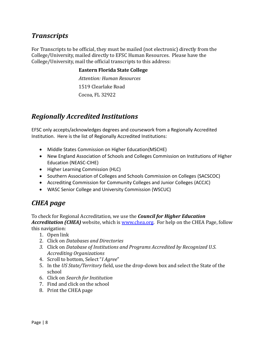### <span id="page-8-0"></span>*Transcripts*

For Transcripts to be official, they must be mailed (not electronic) directly from the College/University, mailed directly to EFSC Human Resources. Please have the College/University, mail the official transcripts to this address:

#### **Eastern Florida State College**

*Attention: Human Resources* 1519 Clearlake Road Cocoa, FL 32922

### <span id="page-8-1"></span>*Regionally Accredited Institutions*

EFSC only accepts/acknowledges degrees and coursework from a Regionally Accredited Institution. Here is the list of Regionally Accredited Institutions:

- Middle States Commission on Higher Education(MSCHE)
- New England Association of Schools and Colleges Commission on Institutions of Higher Education (NEASC-CIHE)
- Higher Learning Commission (HLC)
- Southern Association of Colleges and Schools Commission on Colleges (SACSCOC)
- Accrediting Commission for Community Colleges and Junior Colleges (ACCJC)
- WASC Senior College and University Commission (WSCUC)

### <span id="page-8-2"></span>*CHEA page*

To check for Regional Accreditation, we use the *Council for Higher Education Accreditation (CHEA)* website, which is [www.chea.org.](http://www.chea.org/)For help on the CHEA Page, follow this navigation:

- 1. Open link
- 2. Click on *Databases and Directories*
- *3.* Click on *Database of Institutions and Programs Accredited by Recognized U.S. Accrediting Organizations*
- 4. Scroll to bottom, Select "*I Agree*"
- 5. In the *US State/Territory* field, use the drop-down box and select the State of the school
- 6. Click on *Search for Institution*
- 7. Find and click on the school
- 8. Print the CHEA page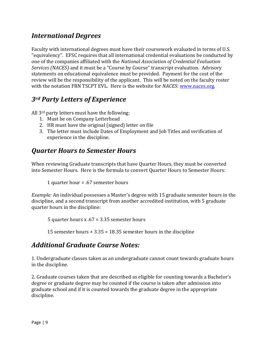### <span id="page-9-0"></span>*International Degrees*

Faculty with international degrees must have their coursework evaluated in terms of U.S. "equivalency". EFSC requires that all international credential evaluations be conducted by one of the companies affiliated with the *National Association of Credential Evaluation Services (NACES)* and it must be a "Course by Course" transcript evaluation. Advisory statements on educational equivalence must be provided. Payment for the cost of the review will be the responsibility of the applicant. This will be noted on the faculty roster with the notation FRN TSCPT EVL. Here is the website for *NACES*: [www.naces.org.](http://www.naces.org/)

### <span id="page-9-1"></span>*3rd Party Letters of Experience*

All 3rd party letters must have the following:

- 1. Must be on Company Letterhead
- 2. HR must have the original (signed) letter on file
- 3. The letter must include Dates of Employment and Job Titles and verification of experience in the discipline.

### <span id="page-9-2"></span>*Quarter Hours to Semester Hours*

When reviewing Graduate transcripts that have Quarter Hours, they must be converted into Semester Hours. Here is the formula to convert Quarter Hours to Semester Hours:

1 quarter hour = .67 semester hours

*Example:* An individual possesses a Master's degree with 15 graduate semester hours in the discipline, and a second transcript from another accredited institution, with 5 graduate quarter hours in the discipline:

5 quarter hours x .67 = 3.35 semester hours

15 semester hours + 3.35 = 18.35 semester hours in the discipline

### <span id="page-9-3"></span>*Additional Graduate Course Notes:*

1. Undergraduate classes taken as an undergraduate cannot count towards graduate hours in the discipline.

2. Graduate courses taken that are described as eligible for counting towards a Bachelor's degree or graduate degree may be counted if the course is taken after admission into graduate school and if it is counted towards the graduate degree in the appropriate discipline.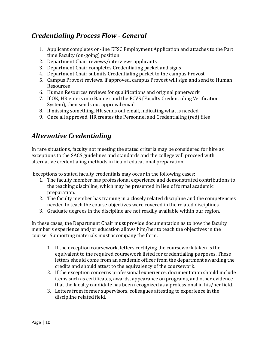### <span id="page-10-0"></span>*Credentialing Process Flow - General*

- 1. Applicant completes on-line EFSC Employment Application and attaches to the Part time Faculty (on-going) position
- 2. Department Chair reviews/interviews applicants
- 3. Department Chair completes Credentialing packet and signs
- 4. Department Chair submits Credentialing packet to the campus Provost
- 5. Campus Provost reviews, if approved, campus Provost will sign and send to Human Resources
- 6. Human Resources reviews for qualifications and original paperwork
- 7. If OK, HR enters into Banner and the FCVS (Faculty Credentialing Verification System), then sends out approval email
- 8. If missing something, HR sends out email, indicating what is needed
- 9. Once all approved, HR creates the Personnel and Credentialing (red) files

### <span id="page-10-1"></span>*Alternative Credentialing*

In rare situations, faculty not meeting the stated criteria may be considered for hire as exceptions to the SACS guidelines and standards and the college will proceed with alternative credentialing methods in lieu of educational preparation.

Exceptions to stated faculty credentials may occur in the following cases:

- 1. The faculty member has professional experience and demonstrated contributions to the teaching discipline, which may be presented in lieu of formal academic preparation.
- 2. The faculty member has training in a closely related discipline and the competencies needed to teach the course objectives were covered in the related disciplines.
- 3. Graduate degrees in the discipline are not readily available within our region.

In these cases, the Department Chair must provide documentation as to how the faculty member's experience and/or education allows him/her to teach the objectives in the course. Supporting materials must accompany the form.

- 1. If the exception coursework, letters certifying the coursework taken is the equivalent to the required coursework listed for credentialing purposes. These letters should come from an academic officer from the department awarding the credits and should attest to the equivalency of the coursework.
- 2. If the exception concerns professional experience, documentation should include items such as certificates, awards, appearance on programs, and other evidence that the faculty candidate has been recognized as a professional in his/her field.
- 3. Letters from former supervisors, colleagues attesting to experience in the discipline related field.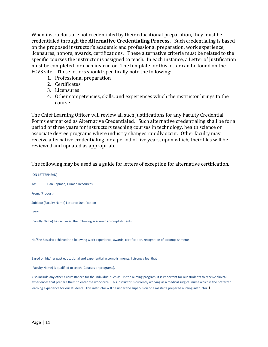When instructors are not credentialed by their educational preparation, they must be credentialed through the **Alternative Credentialing Process.** Such credentialing is based on the proposed instructor's academic and professional preparation, work experience, licensures, honors, awards, certifications. These alternative criteria must be related to the specific courses the instructor is assigned to teach. In each instance, a Letter of Justification must be completed for each instructor. The template for this letter can be found on the FCVS site. These letters should specifically note the following:

- 1. Professional preparation
- 2. Certificates
- 3. Licensures
- 4. Other competencies, skills, and experiences which the instructor brings to the course

The Chief Learning Officer will review all such justifications for any Faculty Credential Forms earmarked as Alternative Credentialed. Such alternative credentialing shall be for a period of three years for instructors teaching courses in technology, health science or associate degree programs where industry changes rapidly occur. Other faculty may receive alternative credentialing for a period of five years, upon which, their files will be reviewed and updated as appropriate.

The following may be used as a guide for letters of exception for alternative certification.

(ON LETTERHEAD) To: Dan Capman, Human Resources From: (Provost) Subject: (Faculty Name) Letter of Justification Date: (Faculty Name) has achieved the following academic accomplishments: He/She has also achieved the following work experience, awards, certification, recognition of accomplishments:

Based on his/her past educational and experiential accomplishments, I strongly feel that

(Faculty Name) is qualified to teach (Courses or programs).

Also include any other circumstances for the individual such as. In the nursing program, it is important for our students to receive clinical experiences that prepare them to enter the workforce. This instructor is currently working as a medical surgical nurse which is the preferred learning experience for our students. This instructor will be under the supervision of a master's prepared nursing instructor.)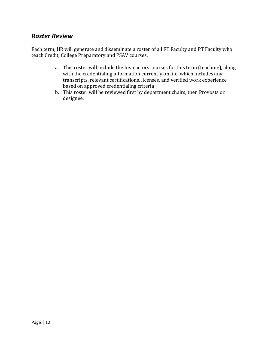### <span id="page-12-0"></span>*Roster Review*

Each term, HR will generate and disseminate a roster of all FT Faculty and PT Faculty who teach Credit, College Preparatory and PSAV courses.

- a. This roster will include the Instructors courses for this term (teaching), along with the credentialing information currently on file, which includes any transcripts, relevant certifications, licenses, and verified work experience based on approved credentialing criteria
- b. This roster will be reviewed first by department chairs, then Provosts or designee.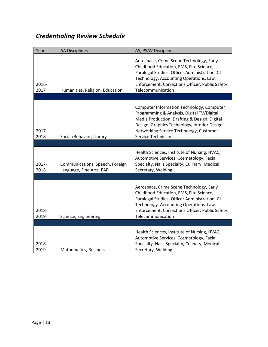# <span id="page-13-0"></span>*Credentialing Review Schedule*

| Year          | <b>AA Disciplines</b>                                       | AS, PSAV Disciplines                                                                                                                                                                                                                                      |
|---------------|-------------------------------------------------------------|-----------------------------------------------------------------------------------------------------------------------------------------------------------------------------------------------------------------------------------------------------------|
| 2016-<br>2017 | Humanities, Religion, Education                             | Aerospace, Crime Scene Technology, Early<br>Childhood Education, EMS, Fire Science,<br>Paralegal Studies, Officer Administration, CJ<br>Technology, Accounting Operations, Law<br>Enforcement, Corrections Officer, Public Safety<br>Telecommunication    |
|               |                                                             |                                                                                                                                                                                                                                                           |
| 2017-<br>2018 | Social/Behavior, Library                                    | Computer Information Technology, Computer<br>Programming & Analysis, Digital TV/Digital<br>Media Production, Drafting & Design, Digital<br>Design, Graphics Technology, Interior Design,<br>Networking Service Technology, Customer<br>Service Technician |
|               |                                                             |                                                                                                                                                                                                                                                           |
| 2017-<br>2018 | Communications, Speech, Foreign<br>Language, Fine Arts, EAP | Health Sciences, Institute of Nursing, HVAC,<br>Automotive Services, Cosmetology, Facial<br>Specialty, Nails Specialty, Culinary, Medical<br>Secretary, Welding                                                                                           |
|               |                                                             |                                                                                                                                                                                                                                                           |
| 2018-<br>2019 | Science, Engineering                                        | Aerospace, Crime Scene Technology, Early<br>Childhood Education, EMS, Fire Science,<br>Paralegal Studies, Officer Administration, CJ<br>Technology, Accounting Operations, Law<br>Enforcement, Corrections Officer, Public Safety<br>Telecommunication    |
|               |                                                             |                                                                                                                                                                                                                                                           |
| 2018-<br>2019 | Mathematics, Business                                       | Health Sciences, Institute of Nursing, HVAC,<br>Automotive Services, Cosmetology, Facial<br>Specialty, Nails Specialty, Culinary, Medical<br>Secretary, Welding                                                                                           |